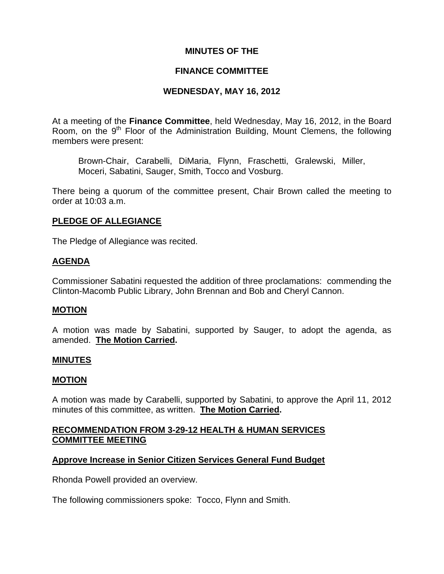### **MINUTES OF THE**

### **FINANCE COMMITTEE**

### **WEDNESDAY, MAY 16, 2012**

At a meeting of the **Finance Committee**, held Wednesday, May 16, 2012, in the Board Room, on the  $9<sup>th</sup>$  Floor of the Administration Building, Mount Clemens, the following members were present:

Brown-Chair, Carabelli, DiMaria, Flynn, Fraschetti, Gralewski, Miller, Moceri, Sabatini, Sauger, Smith, Tocco and Vosburg.

There being a quorum of the committee present, Chair Brown called the meeting to order at 10:03 a.m.

## **PLEDGE OF ALLEGIANCE**

The Pledge of Allegiance was recited.

### **AGENDA**

Commissioner Sabatini requested the addition of three proclamations: commending the Clinton-Macomb Public Library, John Brennan and Bob and Cheryl Cannon.

#### **MOTION**

A motion was made by Sabatini, supported by Sauger, to adopt the agenda, as amended. **The Motion Carried.** 

#### **MINUTES**

#### **MOTION**

A motion was made by Carabelli, supported by Sabatini, to approve the April 11, 2012 minutes of this committee, as written. **The Motion Carried.** 

## **RECOMMENDATION FROM 3-29-12 HEALTH & HUMAN SERVICES COMMITTEE MEETING**

## **Approve Increase in Senior Citizen Services General Fund Budget**

Rhonda Powell provided an overview.

The following commissioners spoke: Tocco, Flynn and Smith.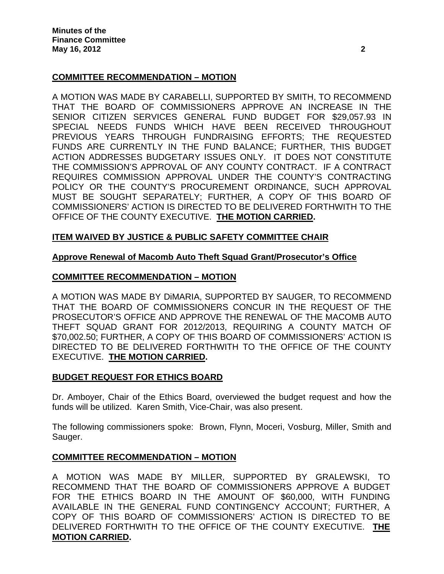# **COMMITTEE RECOMMENDATION – MOTION**

A MOTION WAS MADE BY CARABELLI, SUPPORTED BY SMITH, TO RECOMMEND THAT THE BOARD OF COMMISSIONERS APPROVE AN INCREASE IN THE SENIOR CITIZEN SERVICES GENERAL FUND BUDGET FOR \$29,057.93 IN SPECIAL NEEDS FUNDS WHICH HAVE BEEN RECEIVED THROUGHOUT PREVIOUS YEARS THROUGH FUNDRAISING EFFORTS; THE REQUESTED FUNDS ARE CURRENTLY IN THE FUND BALANCE; FURTHER, THIS BUDGET ACTION ADDRESSES BUDGETARY ISSUES ONLY. IT DOES NOT CONSTITUTE THE COMMISSION'S APPROVAL OF ANY COUNTY CONTRACT. IF A CONTRACT REQUIRES COMMISSION APPROVAL UNDER THE COUNTY'S CONTRACTING POLICY OR THE COUNTY'S PROCUREMENT ORDINANCE, SUCH APPROVAL MUST BE SOUGHT SEPARATELY; FURTHER, A COPY OF THIS BOARD OF COMMISSIONERS' ACTION IS DIRECTED TO BE DELIVERED FORTHWITH TO THE OFFICE OF THE COUNTY EXECUTIVE. **THE MOTION CARRIED.** 

## **ITEM WAIVED BY JUSTICE & PUBLIC SAFETY COMMITTEE CHAIR**

### **Approve Renewal of Macomb Auto Theft Squad Grant/Prosecutor's Office**

### **COMMITTEE RECOMMENDATION – MOTION**

A MOTION WAS MADE BY DiMARIA, SUPPORTED BY SAUGER, TO RECOMMEND THAT THE BOARD OF COMMISSIONERS CONCUR IN THE REQUEST OF THE PROSECUTOR'S OFFICE AND APPROVE THE RENEWAL OF THE MACOMB AUTO THEFT SQUAD GRANT FOR 2012/2013, REQUIRING A COUNTY MATCH OF \$70,002.50; FURTHER, A COPY OF THIS BOARD OF COMMISSIONERS' ACTION IS DIRECTED TO BE DELIVERED FORTHWITH TO THE OFFICE OF THE COUNTY EXECUTIVE. **THE MOTION CARRIED.** 

## **BUDGET REQUEST FOR ETHICS BOARD**

Dr. Amboyer, Chair of the Ethics Board, overviewed the budget request and how the funds will be utilized. Karen Smith, Vice-Chair, was also present.

The following commissioners spoke: Brown, Flynn, Moceri, Vosburg, Miller, Smith and Sauger.

#### **COMMITTEE RECOMMENDATION – MOTION**

A MOTION WAS MADE BY MILLER, SUPPORTED BY GRALEWSKI, TO RECOMMEND THAT THE BOARD OF COMMISSIONERS APPROVE A BUDGET FOR THE ETHICS BOARD IN THE AMOUNT OF \$60,000, WITH FUNDING AVAILABLE IN THE GENERAL FUND CONTINGENCY ACCOUNT; FURTHER, A COPY OF THIS BOARD OF COMMISSIONERS' ACTION IS DIRECTED TO BE DELIVERED FORTHWITH TO THE OFFICE OF THE COUNTY EXECUTIVE. **THE MOTION CARRIED.**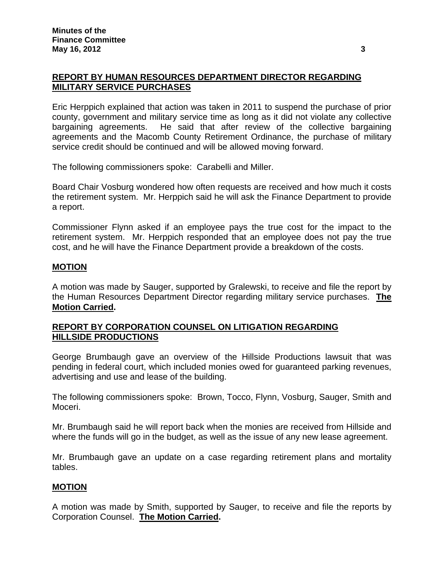# **REPORT BY HUMAN RESOURCES DEPARTMENT DIRECTOR REGARDING MILITARY SERVICE PURCHASES**

Eric Herppich explained that action was taken in 2011 to suspend the purchase of prior county, government and military service time as long as it did not violate any collective bargaining agreements. He said that after review of the collective bargaining agreements and the Macomb County Retirement Ordinance, the purchase of military service credit should be continued and will be allowed moving forward.

The following commissioners spoke: Carabelli and Miller.

Board Chair Vosburg wondered how often requests are received and how much it costs the retirement system. Mr. Herppich said he will ask the Finance Department to provide a report.

Commissioner Flynn asked if an employee pays the true cost for the impact to the retirement system. Mr. Herppich responded that an employee does not pay the true cost, and he will have the Finance Department provide a breakdown of the costs.

### **MOTION**

A motion was made by Sauger, supported by Gralewski, to receive and file the report by the Human Resources Department Director regarding military service purchases. **The Motion Carried.** 

## **REPORT BY CORPORATION COUNSEL ON LITIGATION REGARDING HILLSIDE PRODUCTIONS**

George Brumbaugh gave an overview of the Hillside Productions lawsuit that was pending in federal court, which included monies owed for guaranteed parking revenues, advertising and use and lease of the building.

The following commissioners spoke: Brown, Tocco, Flynn, Vosburg, Sauger, Smith and Moceri.

Mr. Brumbaugh said he will report back when the monies are received from Hillside and where the funds will go in the budget, as well as the issue of any new lease agreement.

Mr. Brumbaugh gave an update on a case regarding retirement plans and mortality tables.

## **MOTION**

A motion was made by Smith, supported by Sauger, to receive and file the reports by Corporation Counsel. **The Motion Carried.**